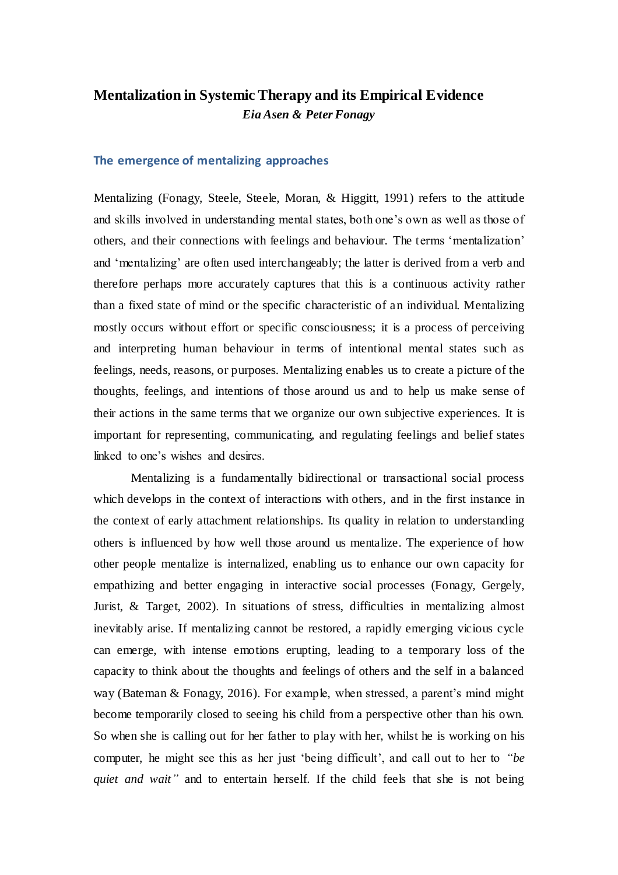# **Mentalization in Systemic Therapy and its Empirical Evidence** *Eia Asen & Peter Fonagy*

#### **The emergence of mentalizing approaches**

Mentalizing (Fonagy, Steele, Steele, Moran, & Higgitt, 1991) refers to the attitude and skills involved in understanding mental states, both one's own as well as those of others, and their connections with feelings and behaviour. The terms 'mentalization' and 'mentalizing' are often used interchangeably; the latter is derived from a verb and therefore perhaps more accurately captures that this is a continuous activity rather than a fixed state of mind or the specific characteristic of an individual. Mentalizing mostly occurs without effort or specific consciousness; it is a process of perceiving and interpreting human behaviour in terms of intentional mental states such as feelings, needs, reasons, or purposes. Mentalizing enables us to create a picture of the thoughts, feelings, and intentions of those around us and to help us make sense of their actions in the same terms that we organize our own subjective experiences. It is important for representing, communicating, and regulating feelings and belief states linked to one's wishes and desires.

Mentalizing is a fundamentally bidirectional or transactional social process which develops in the context of interactions with others, and in the first instance in the context of early attachment relationships. Its quality in relation to understanding others is influenced by how well those around us mentalize. The experience of how other people mentalize is internalized, enabling us to enhance our own capacity for empathizing and better engaging in interactive social processes (Fonagy, Gergely, Jurist, & Target, 2002). In situations of stress, difficulties in mentalizing almost inevitably arise. If mentalizing cannot be restored, a rapidly emerging vicious cycle can emerge, with intense emotions erupting, leading to a temporary loss of the capacity to think about the thoughts and feelings of others and the self in a balanced way (Bateman & Fonagy, 2016). For example, when stressed, a parent's mind might become temporarily closed to seeing his child from a perspective other than his own. So when she is calling out for her father to play with her, whilst he is working on his computer, he might see this as her just 'being difficult', and call out to her to *"be quiet and wait*" and to entertain herself. If the child feels that she is not being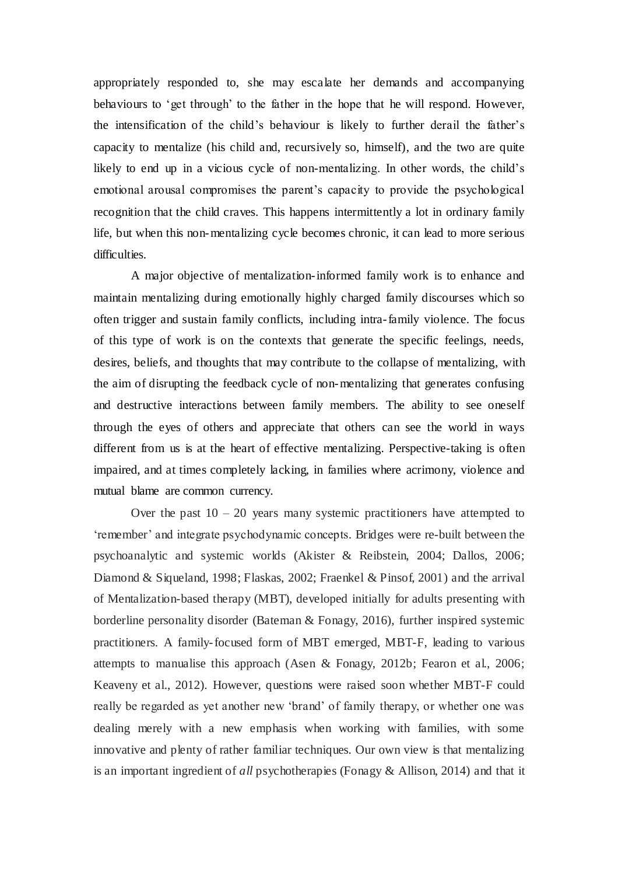appropriately responded to, she may escalate her demands and accompanying behaviours to 'get through' to the father in the hope that he will respond. However, the intensification of the child's behaviour is likely to further derail the father's capacity to mentalize (his child and, recursively so, himself), and the two are quite likely to end up in a vicious cycle of non-mentalizing. In other words, the child's emotional arousal compromises the parent's capacity to provide the psychological recognition that the child craves. This happens intermittently a lot in ordinary family life, but when this non-mentalizing cycle becomes chronic, it can lead to more serious difficulties.

A major objective of mentalization-informed family work is to enhance and maintain mentalizing during emotionally highly charged family discourses which so often trigger and sustain family conflicts, including intra-family violence. The focus of this type of work is on the contexts that generate the specific feelings, needs, desires, beliefs, and thoughts that may contribute to the collapse of mentalizing, with the aim of disrupting the feedback cycle of non-mentalizing that generates confusing and destructive interactions between family members. The ability to see oneself through the eyes of others and appreciate that others can see the world in ways different from us is at the heart of effective mentalizing. Perspective-taking is often impaired, and at times completely lacking, in families where acrimony, violence and mutual blame are common currency.

Over the past  $10 - 20$  years many systemic practitioners have attempted to 'remember' and integrate psychodynamic concepts. Bridges were re-built between the psychoanalytic and systemic worlds (Akister & Reibstein, 2004; Dallos, 2006; Diamond & Siqueland, 1998; Flaskas, 2002; Fraenkel & Pinsof, 2001) and the arrival of Mentalization-based therapy (MBT), developed initially for adults presenting with borderline personality disorder (Bateman & Fonagy, 2016), further inspired systemic practitioners. A family-focused form of MBT emerged, MBT-F, leading to various attempts to manualise this approach (Asen & Fonagy, 2012b; Fearon et al., 2006; Keaveny et al., 2012). However, questions were raised soon whether MBT-F could really be regarded as yet another new 'brand' of family therapy, or whether one was dealing merely with a new emphasis when working with families, with some innovative and plenty of rather familiar techniques. Our own view is that mentalizing is an important ingredient of *all* psychotherapies (Fonagy & Allison, 2014) and that it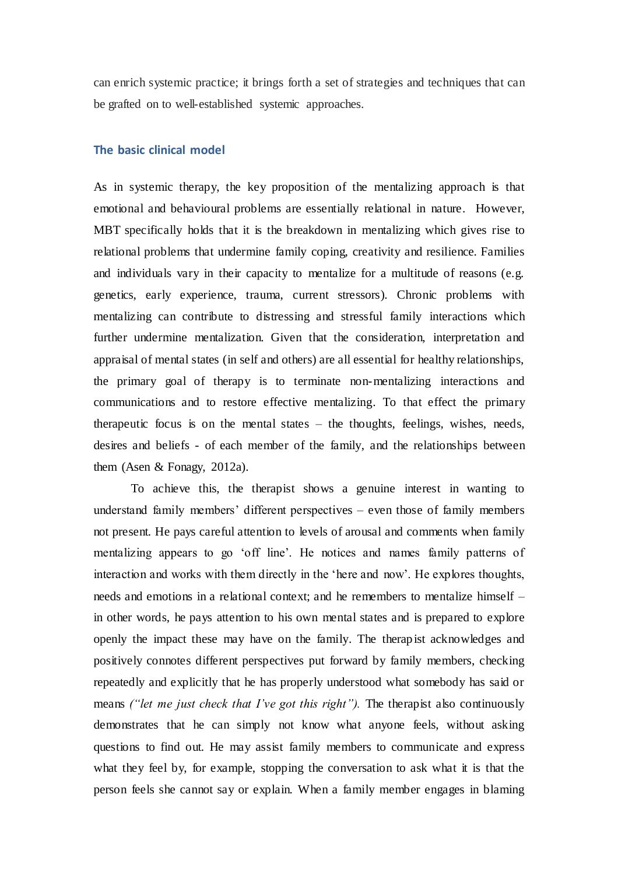can enrich systemic practice; it brings forth a set of strategies and techniques that can be grafted on to well-established systemic approaches.

# **The basic clinical model**

As in systemic therapy, the key proposition of the mentalizing approach is that emotional and behavioural problems are essentially relational in nature. However, MBT specifically holds that it is the breakdown in mentalizing which gives rise to relational problems that undermine family coping, creativity and resilience. Families and individuals vary in their capacity to mentalize for a multitude of reasons (e.g. genetics, early experience, trauma, current stressors). Chronic problems with mentalizing can contribute to distressing and stressful family interactions which further undermine mentalization. Given that the consideration, interpretation and appraisal of mental states (in self and others) are all essential for healthy relationships, the primary goal of therapy is to terminate non-mentalizing interactions and communications and to restore effective mentalizing. To that effect the primary therapeutic focus is on the mental states – the thoughts, feelings, wishes, needs, desires and beliefs - of each member of the family, and the relationships between them (Asen  $&$  Fonagy, 2012a).

To achieve this, the therapist shows a genuine interest in wanting to understand family members' different perspectives – even those of family members not present. He pays careful attention to levels of arousal and comments when family mentalizing appears to go 'off line'. He notices and names family patterns of interaction and works with them directly in the 'here and now'. He explores thoughts, needs and emotions in a relational context; and he remembers to mentalize himself – in other words, he pays attention to his own mental states and is prepared to explore openly the impact these may have on the family. The therapist acknowledges and positively connotes different perspectives put forward by family members, checking repeatedly and explicitly that he has properly understood what somebody has said or means *("let me just check that I've got this right")*. The therapist also continuously demonstrates that he can simply not know what anyone feels, without asking questions to find out. He may assist family members to communicate and express what they feel by, for example, stopping the conversation to ask what it is that the person feels she cannot say or explain. When a family member engages in blaming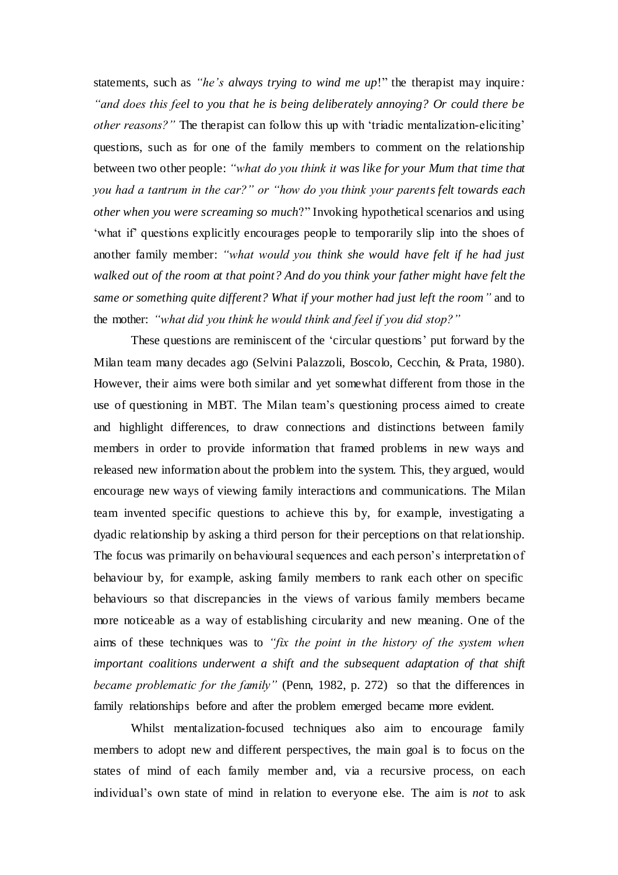statements, such as *"he's always trying to wind me up*!" the therapist may inquire*: "and does this feel to you that he is being deliberately annoying? Or could there be other reasons?"* The therapist can follow this up with 'triadic mentalization-eliciting' questions, such as for one of the family members to comment on the relationship between two other people: *"what do you think it was like for your Mum that time that you had a tantrum in the car?" or "how do you think your parents felt towards each other when you were screaming so much*?" Invoking hypothetical scenarios and using 'what if' questions explicitly encourages people to temporarily slip into the shoes of another family member: *"what would you think she would have felt if he had just walked out of the room at that point? And do you think your father might have felt the same or something quite different? What if your mother had just left the room"* and to the mother: *"what did you think he would think and feel if you did stop?"* 

These questions are reminiscent of the 'circular questions' put forward by the Milan team many decades ago (Selvini Palazzoli, Boscolo, Cecchin, & Prata, 1980). However, their aims were both similar and yet somewhat different from those in the use of questioning in MBT. The Milan team's questioning process aimed to create and highlight differences, to draw connections and distinctions between family members in order to provide information that framed problems in new ways and released new information about the problem into the system. This, they argued, would encourage new ways of viewing family interactions and communications. The Milan team invented specific questions to achieve this by, for example, investigating a dyadic relationship by asking a third person for their perceptions on that relationship. The focus was primarily on behavioural sequences and each person's interpretation of behaviour by, for example, asking family members to rank each other on specific behaviours so that discrepancies in the views of various family members became more noticeable as a way of establishing circularity and new meaning. One of the aims of these techniques was to *"fix the point in the history of the system when important coalitions underwent a shift and the subsequent adaptation of that shift became problematic for the family"* (Penn, 1982, p. 272) so that the differences in family relationships before and after the problem emerged became more evident.

Whilst mentalization-focused techniques also aim to encourage family members to adopt new and different perspectives, the main goal is to focus on the states of mind of each family member and, via a recursive process, on each individual's own state of mind in relation to everyone else. The aim is *not* to ask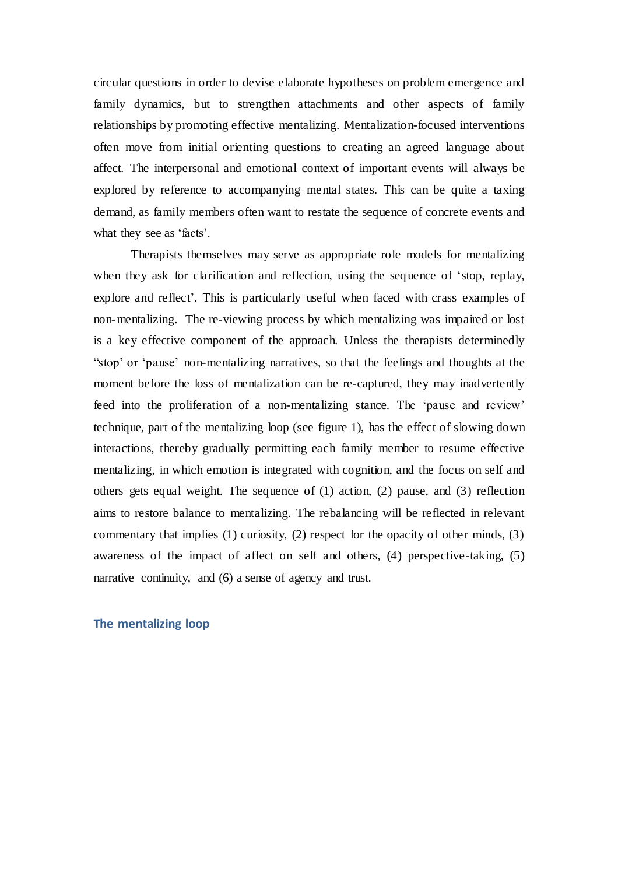circular questions in order to devise elaborate hypotheses on problem emergence and family dynamics, but to strengthen attachments and other aspects of family relationships by promoting effective mentalizing. Mentalization-focused interventions often move from initial orienting questions to creating an agreed language about affect. The interpersonal and emotional context of important events will always be explored by reference to accompanying mental states. This can be quite a taxing demand, as family members often want to restate the sequence of concrete events and what they see as 'facts'.

Therapists themselves may serve as appropriate role models for mentalizing when they ask for clarification and reflection, using the sequence of 'stop, replay, explore and reflect'. This is particularly useful when faced with crass examples of non-mentalizing. The re-viewing process by which mentalizing was impaired or lost is a key effective component of the approach. Unless the therapists determinedly "stop' or 'pause' non-mentalizing narratives, so that the feelings and thoughts at the moment before the loss of mentalization can be re-captured, they may inadvertently feed into the proliferation of a non-mentalizing stance. The 'pause and review' technique, part of the mentalizing loop (see figure 1), has the effect of slowing down interactions, thereby gradually permitting each family member to resume effective mentalizing, in which emotion is integrated with cognition, and the focus on self and others gets equal weight. The sequence of (1) action, (2) pause, and (3) reflection aims to restore balance to mentalizing. The rebalancing will be reflected in relevant commentary that implies (1) curiosity, (2) respect for the opacity of other minds, (3) awareness of the impact of affect on self and others, (4) perspective-taking, (5) narrative continuity, and (6) a sense of agency and trust.

#### **The mentalizing loop**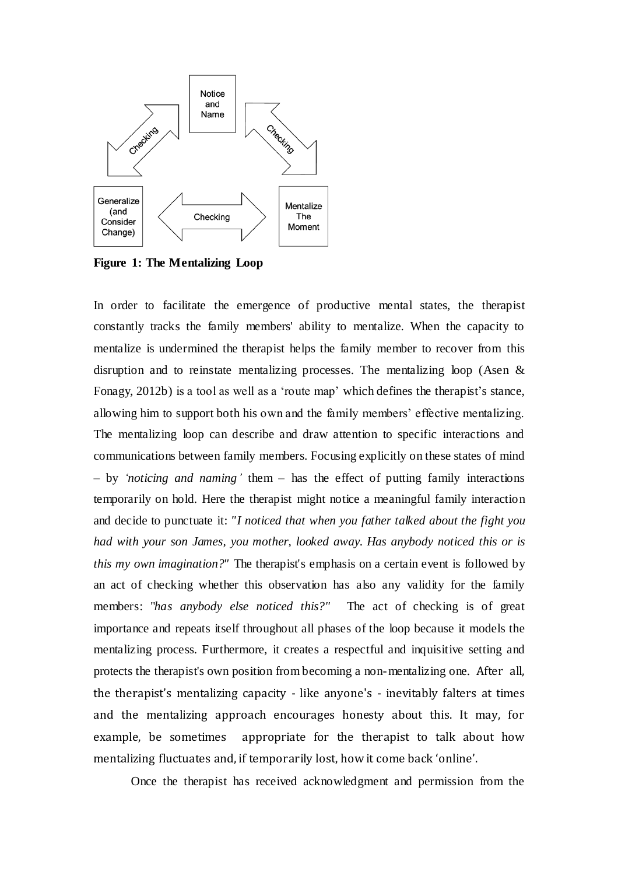

**Figure 1: The Mentalizing Loop**

In order to facilitate the emergence of productive mental states, the therapist constantly tracks the family members' ability to mentalize. When the capacity to mentalize is undermined the therapist helps the family member to recover from this disruption and to reinstate mentalizing processes. The mentalizing loop (Asen & Fonagy, 2012b) is a tool as well as a 'route map' which defines the therapist's stance, allowing him to support both his own and the family members' effective mentalizing. The mentalizing loop can describe and draw attention to specific interactions and communications between family members. Focusing explicitly on these states of mind – by *'noticing and naming'* them – has the effect of putting family interactions temporarily on hold. Here the therapist might notice a meaningful family interaction and decide to punctuate it: *"I noticed that when you father talked about the fight you had with your son James, you mother, looked away. Has anybody noticed this or is this my own imagination?"* The therapist's emphasis on a certain event is followed by an act of checking whether this observation has also any validity for the family members: "*has anybody else noticed this?"* The act of checking is of great importance and repeats itself throughout all phases of the loop because it models the mentalizing process. Furthermore, it creates a respectful and inquisitive setting and protects the therapist's own position from becoming a non-mentalizing one. After all, the therapist's mentalizing capacity - like anyone's - inevitably falters at times and the mentalizing approach encourages honesty about this. It may, for example, be sometimes appropriate for the therapist to talk about how mentalizing fluctuates and, if temporarily lost, how it come back 'online'.

Once the therapist has received acknowledgment and permission from the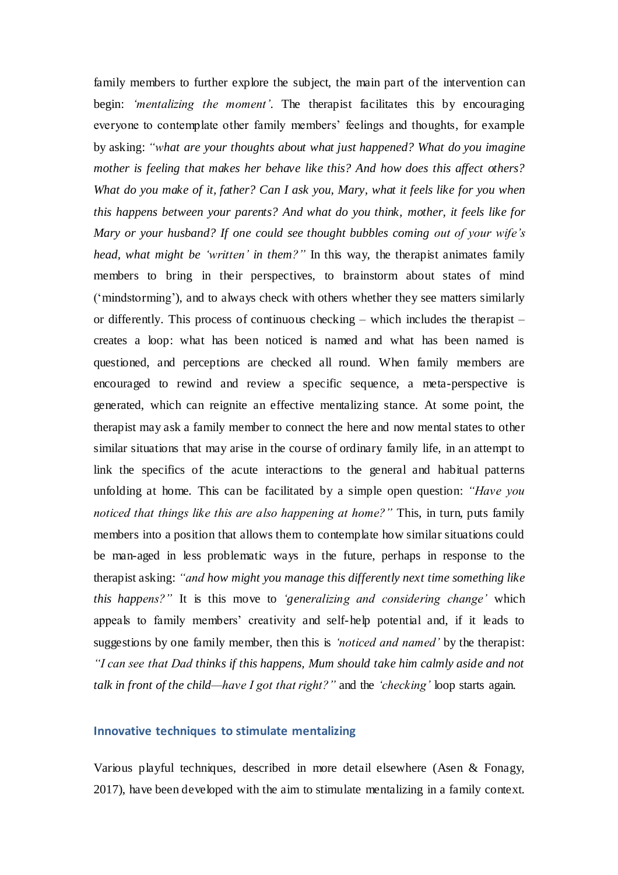family members to further explore the subject, the main part of the intervention can begin: *'mentalizing the moment'.* The therapist facilitates this by encouraging everyone to contemplate other family members' feelings and thoughts, for example by asking: *"what are your thoughts about what just happened? What do you imagine mother is feeling that makes her behave like this? And how does this affect others? What do you make of it, father? Can I ask you, Mary, what it feels like for you when this happens between your parents? And what do you think, mother, it feels like for Mary or your husband? If one could see thought bubbles coming out of your wife's head, what might be 'written' in them?"* In this way, the therapist animates family members to bring in their perspectives, to brainstorm about states of mind ('mindstorming'), and to always check with others whether they see matters similarly or differently. This process of continuous checking – which includes the therapist – creates a loop: what has been noticed is named and what has been named is questioned, and perceptions are checked all round. When family members are encouraged to rewind and review a specific sequence, a meta-perspective is generated, which can reignite an effective mentalizing stance. At some point, the therapist may ask a family member to connect the here and now mental states to other similar situations that may arise in the course of ordinary family life, in an attempt to link the specifics of the acute interactions to the general and habitual patterns unfolding at home. This can be facilitated by a simple open question: *"Have you noticed that things like this are also happening at home?"* This, in turn, puts family members into a position that allows them to contemplate how similar situations could be man-aged in less problematic ways in the future, perhaps in response to the therapist asking: *"and how might you manage this differently next time something like this happens?"* It is this move to *'generalizing and considering change'* which appeals to family members' creativity and self-help potential and, if it leads to suggestions by one family member, then this is *'noticed and named'* by the therapist: *"I can see that Dad thinks if this happens, Mum should take him calmly aside and not talk in front of the child—have I got that right?"* and the *'checking'* loop starts again.

# **Innovative techniques to stimulate mentalizing**

Various playful techniques, described in more detail elsewhere (Asen & Fonagy, 2017), have been developed with the aim to stimulate mentalizing in a family context.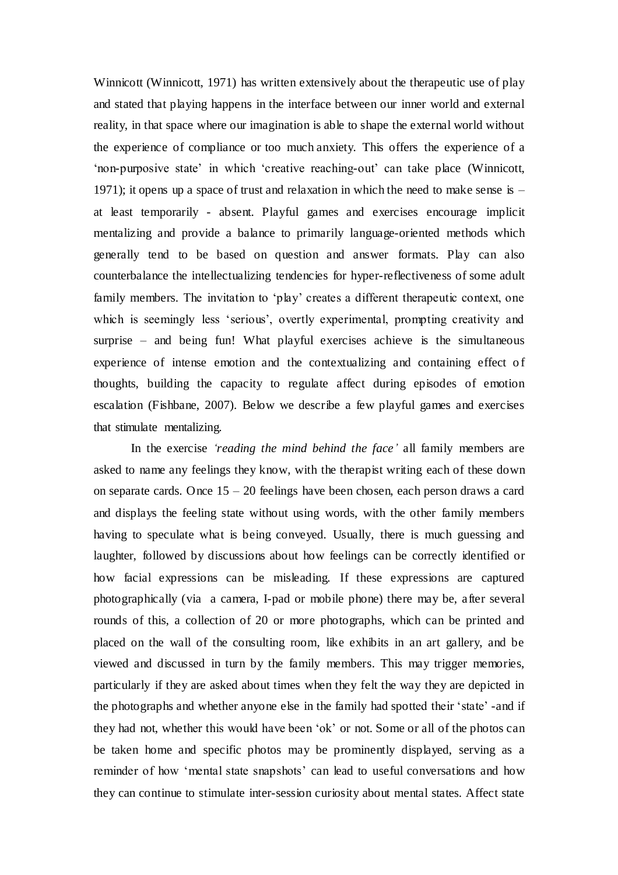Winnicott (Winnicott, 1971) has written extensively about the therapeutic use of play and stated that playing happens in the interface between our inner world and external reality, in that space where our imagination is able to shape the external world without the experience of compliance or too much anxiety. This offers the experience of a 'non-purposive state' in which 'creative reaching-out' can take place (Winnicott, 1971); it opens up a space of trust and relaxation in which the need to make sense is  $$ at least temporarily - absent. Playful games and exercises encourage implicit mentalizing and provide a balance to primarily language-oriented methods which generally tend to be based on question and answer formats. Play can also counterbalance the intellectualizing tendencies for hyper-reflectiveness of some adult family members. The invitation to 'play' creates a different therapeutic context, one which is seemingly less 'serious', overtly experimental, prompting creativity and surprise – and being fun! What playful exercises achieve is the simultaneous experience of intense emotion and the contextualizing and containing effect of thoughts, building the capacity to regulate affect during episodes of emotion escalation (Fishbane, 2007). Below we describe a few playful games and exercises that stimulate mentalizing.

In the exercise *'reading the mind behind the face'* all family members are asked to name any feelings they know, with the therapist writing each of these down on separate cards. Once 15 – 20 feelings have been chosen, each person draws a card and displays the feeling state without using words, with the other family members having to speculate what is being conveyed. Usually, there is much guessing and laughter, followed by discussions about how feelings can be correctly identified or how facial expressions can be misleading. If these expressions are captured photographically (via a camera, I-pad or mobile phone) there may be, after several rounds of this, a collection of 20 or more photographs, which can be printed and placed on the wall of the consulting room, like exhibits in an art gallery, and be viewed and discussed in turn by the family members. This may trigger memories, particularly if they are asked about times when they felt the way they are depicted in the photographs and whether anyone else in the family had spotted their 'state' -and if they had not, whether this would have been 'ok' or not. Some or all of the photos can be taken home and specific photos may be prominently displayed, serving as a reminder of how 'mental state snapshots' can lead to useful conversations and how they can continue to stimulate inter-session curiosity about mental states. Affect state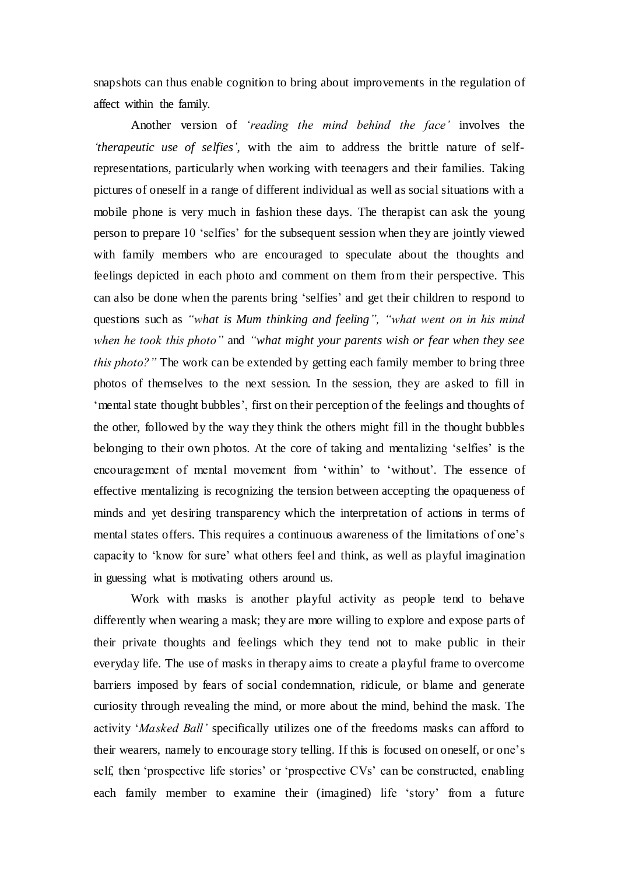snapshots can thus enable cognition to bring about improvements in the regulation of affect within the family.

Another version of *'reading the mind behind the face'* involves the *'therapeutic use of selfies'*, with the aim to address the brittle nature of selfrepresentations, particularly when working with teenagers and their families*.* Taking pictures of oneself in a range of different individual as well as social situations with a mobile phone is very much in fashion these days. The therapist can ask the young person to prepare 10 'selfies' for the subsequent session when they are jointly viewed with family members who are encouraged to speculate about the thoughts and feelings depicted in each photo and comment on them from their perspective. This can also be done when the parents bring 'selfies' and get their children to respond to questions such as *"what is Mum thinking and feeling", "what went on in his mind when he took this photo"* and *"what might your parents wish or fear when they see this photo?"* The work can be extended by getting each family member to bring three photos of themselves to the next session. In the session, they are asked to fill in 'mental state thought bubbles', first on their perception of the feelings and thoughts of the other, followed by the way they think the others might fill in the thought bubbles belonging to their own photos. At the core of taking and mentalizing 'selfies' is the encouragement of mental movement from 'within' to 'without'. The essence of effective mentalizing is recognizing the tension between accepting the opaqueness of minds and yet desiring transparency which the interpretation of actions in terms of mental states offers. This requires a continuous awareness of the limitations of one's capacity to 'know for sure' what others feel and think, as well as playful imagination in guessing what is motivating others around us.

Work with masks is another playful activity as people tend to behave differently when wearing a mask; they are more willing to explore and expose parts of their private thoughts and feelings which they tend not to make public in their everyday life. The use of masks in therapy aims to create a playful frame to overcome barriers imposed by fears of social condemnation, ridicule, or blame and generate curiosity through revealing the mind, or more about the mind, behind the mask. The activity '*Masked Ball'* specifically utilizes one of the freedoms masks can afford to their wearers, namely to encourage story telling. If this is focused on oneself, or one's self, then 'prospective life stories' or 'prospective CVs' can be constructed, enabling each family member to examine their (imagined) life 'story' from a future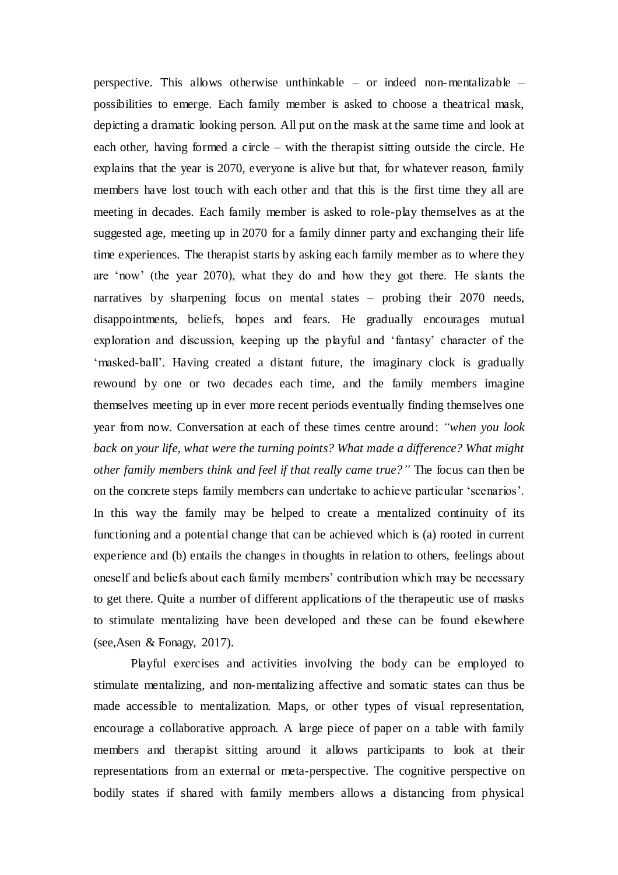perspective. This allows otherwise unthinkable – or indeed non-mentalizable – possibilities to emerge. Each family member is asked to choose a theatrical mask, depicting a dramatic looking person. All put on the mask at the same time and look at each other, having formed a circle – with the therapist sitting outside the circle. He explains that the year is 2070, everyone is alive but that, for whatever reason, family members have lost touch with each other and that this is the first time they all are meeting in decades. Each family member is asked to role-play themselves as at the suggested age, meeting up in 2070 for a family dinner party and exchanging their life time experiences. The therapist starts by asking each family member as to where they are 'now' (the year 2070), what they do and how they got there. He slants the narratives by sharpening focus on mental states – probing their 2070 needs, disappointments, beliefs, hopes and fears. He gradually encourages mutual exploration and discussion, keeping up the playful and 'fantasy' character of the 'masked-ball'. Having created a distant future, the imaginary clock is gradually rewound by one or two decades each time, and the family members imagine themselves meeting up in ever more recent periods eventually finding themselves one year from now. Conversation at each of these times centre around: *"when you look back on your life, what were the turning points? What made a difference? What might other family members think and feel if that really came true?"* The focus can then be on the concrete steps family members can undertake to achieve particular 'scenarios'. In this way the family may be helped to create a mentalized continuity of its functioning and a potential change that can be achieved which is (a) rooted in current experience and (b) entails the changes in thoughts in relation to others, feelings about oneself and beliefs about each family members' contribution which may be necessary to get there. Quite a number of different applications of the therapeutic use of masks to stimulate mentalizing have been developed and these can be found elsewhere (see,Asen & Fonagy, 2017).

Playful exercises and activities involving the body can be employed to stimulate mentalizing, and non-mentalizing affective and somatic states can thus be made accessible to mentalization. Maps, or other types of visual representation, encourage a collaborative approach. A large piece of paper on a table with family members and therapist sitting around it allows participants to look at their representations from an external or meta-perspective. The cognitive perspective on bodily states if shared with family members allows a distancing from physical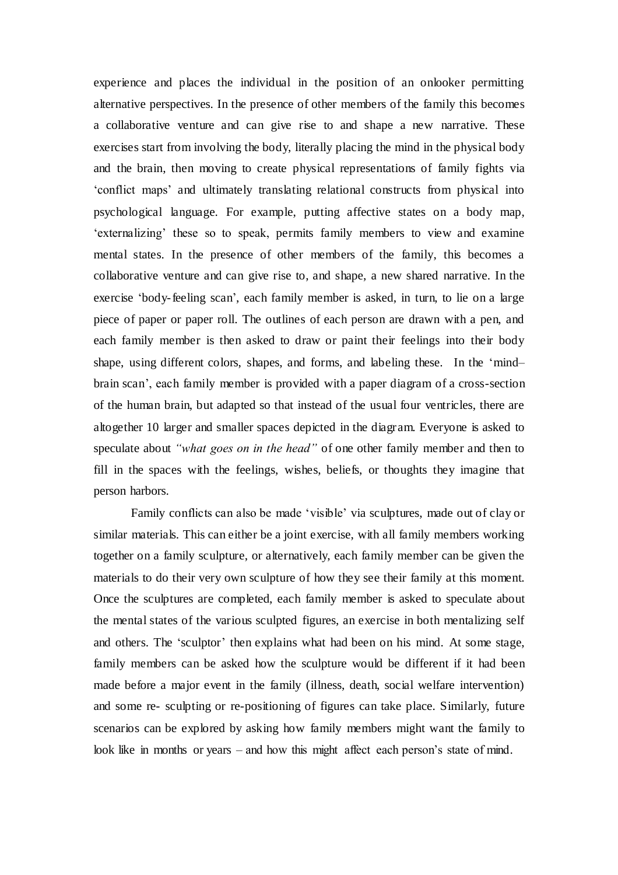experience and places the individual in the position of an onlooker permitting alternative perspectives. In the presence of other members of the family this becomes a collaborative venture and can give rise to and shape a new narrative. These exercises start from involving the body, literally placing the mind in the physical body and the brain, then moving to create physical representations of family fights via 'conflict maps' and ultimately translating relational constructs from physical into psychological language. For example, putting affective states on a body map, 'externalizing' these so to speak, permits family members to view and examine mental states. In the presence of other members of the family, this becomes a collaborative venture and can give rise to, and shape, a new shared narrative. In the exercise 'body-feeling scan', each family member is asked, in turn, to lie on a large piece of paper or paper roll. The outlines of each person are drawn with a pen, and each family member is then asked to draw or paint their feelings into their body shape, using different colors, shapes, and forms, and labeling these. In the 'mind– brain scan', each family member is provided with a paper diagram of a cross-section of the human brain, but adapted so that instead of the usual four ventricles, there are altogether 10 larger and smaller spaces depicted in the diagram. Everyone is asked to speculate about *"what goes on in the head"* of one other family member and then to fill in the spaces with the feelings, wishes, beliefs, or thoughts they imagine that person harbors.

Family conflicts can also be made 'visible' via sculptures, made out of clay or similar materials. This can either be a joint exercise, with all family members working together on a family sculpture, or alternatively, each family member can be given the materials to do their very own sculpture of how they see their family at this moment. Once the sculptures are completed, each family member is asked to speculate about the mental states of the various sculpted figures, an exercise in both mentalizing self and others. The 'sculptor' then explains what had been on his mind. At some stage, family members can be asked how the sculpture would be different if it had been made before a major event in the family (illness, death, social welfare intervention) and some re- sculpting or re-positioning of figures can take place. Similarly, future scenarios can be explored by asking how family members might want the family to look like in months or years – and how this might affect each person's state of mind.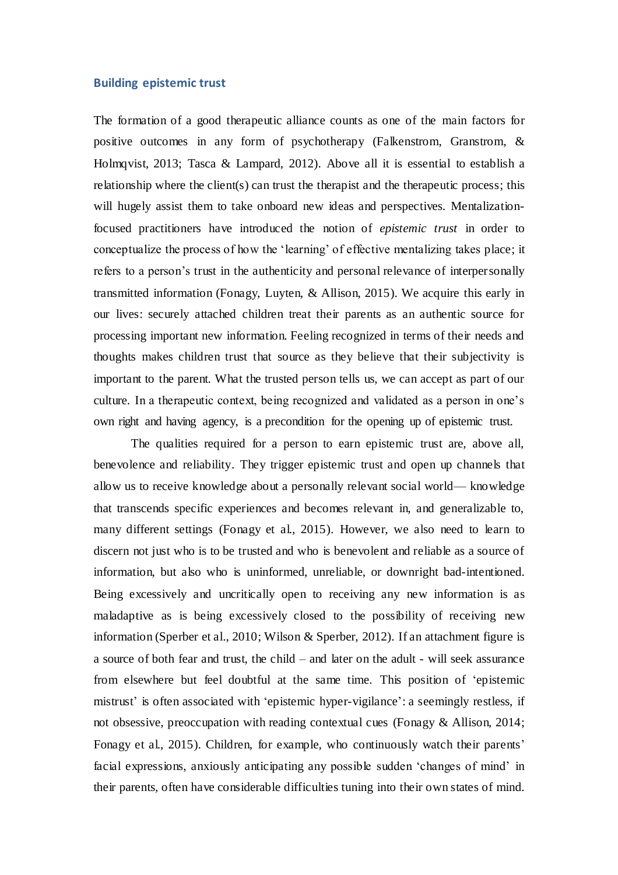### **Building epistemic trust**

The formation of a good therapeutic alliance counts as one of the main factors for positive outcomes in any form of psychotherapy (Falkenstrom, Granstrom, & Holmqvist, 2013; Tasca & Lampard, 2012). Above all it is essential to establish a relationship where the client(s) can trust the therapist and the therapeutic process; this will hugely assist them to take onboard new ideas and perspectives. Mentalizationfocused practitioners have introduced the notion of *epistemic trust* in order to conceptualize the process of how the 'learning' of effective mentalizing takes place; it refers to a person's trust in the authenticity and personal relevance of interpersonally transmitted information (Fonagy, Luyten, & Allison, 2015). We acquire this early in our lives: securely attached children treat their parents as an authentic source for processing important new information. Feeling recognized in terms of their needs and thoughts makes children trust that source as they believe that their subjectivity is important to the parent. What the trusted person tells us, we can accept as part of our culture. In a therapeutic context, being recognized and validated as a person in one's own right and having agency, is a precondition for the opening up of epistemic trust.

The qualities required for a person to earn epistemic trust are, above all, benevolence and reliability. They trigger epistemic trust and open up channels that allow us to receive knowledge about a personally relevant social world— knowledge that transcends specific experiences and becomes relevant in, and generalizable to, many different settings (Fonagy et al., 2015). However, we also need to learn to discern not just who is to be trusted and who is benevolent and reliable as a source of information, but also who is uninformed, unreliable, or downright bad-intentioned. Being excessively and uncritically open to receiving any new information is as maladaptive as is being excessively closed to the possibility of receiving new information (Sperber et al., 2010; Wilson & Sperber, 2012). If an attachment figure is a source of both fear and trust, the child – and later on the adult - will seek assurance from elsewhere but feel doubtful at the same time. This position of 'epistemic mistrust' is often associated with 'epistemic hyper-vigilance': a seemingly restless, if not obsessive, preoccupation with reading contextual cues (Fonagy & Allison, 2014; Fonagy et al., 2015). Children, for example, who continuously watch their parents' facial expressions, anxiously anticipating any possible sudden 'changes of mind' in their parents, often have considerable difficulties tuning into their own states of mind.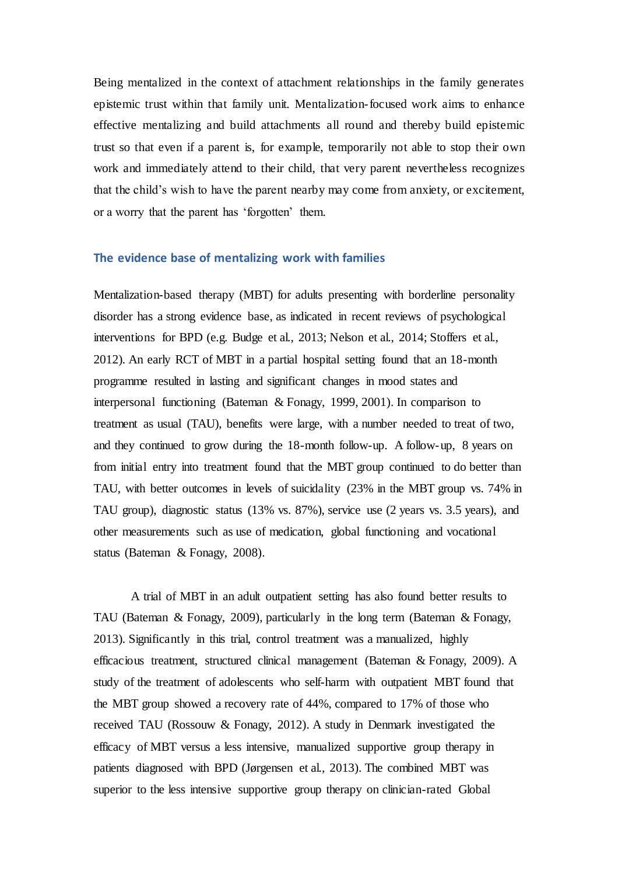Being mentalized in the context of attachment relationships in the family generates epistemic trust within that family unit. Mentalization-focused work aims to enhance effective mentalizing and build attachments all round and thereby build epistemic trust so that even if a parent is, for example, temporarily not able to stop their own work and immediately attend to their child, that very parent nevertheless recognizes that the child's wish to have the parent nearby may come from anxiety, or excitement, or a worry that the parent has 'forgotten' them.

## **The evidence base of mentalizing work with families**

Mentalization-based therapy (MBT) for adults presenting with borderline personality disorder has a strong evidence base, as indicated in recent reviews of psychological interventions for BPD (e.g. Budge et al., 2013; Nelson et al., 2014; Stoffers et al., 2012). An early RCT of MBT in a partial hospital setting found that an 18-month programme resulted in lasting and significant changes in mood states and interpersonal functioning (Bateman & Fonagy, 1999, 2001). In comparison to treatment as usual (TAU), benefits were large, with a number needed to treat of two, and they continued to grow during the 18-month follow-up. A follow-up, 8 years on from initial entry into treatment found that the MBT group continued to do better than TAU, with better outcomes in levels of suicidality (23% in the MBT group vs. 74% in TAU group), diagnostic status (13% vs. 87%), service use (2 years vs. 3.5 years), and other measurements such as use of medication, global functioning and vocational status (Bateman & Fonagy, 2008).

A trial of MBT in an adult outpatient setting has also found better results to TAU (Bateman & Fonagy, 2009), particularly in the long term (Bateman & Fonagy, 2013). Significantly in this trial, control treatment was a manualized, highly efficacious treatment, structured clinical management (Bateman & Fonagy, 2009). A study of the treatment of adolescents who self-harm with outpatient MBT found that the MBT group showed a recovery rate of 44%, compared to 17% of those who received TAU (Rossouw & Fonagy, 2012). A study in Denmark investigated the efficacy of MBT versus a less intensive, manualized supportive group therapy in patients diagnosed with BPD (Jørgensen et al., 2013). The combined MBT was superior to the less intensive supportive group therapy on clinician-rated Global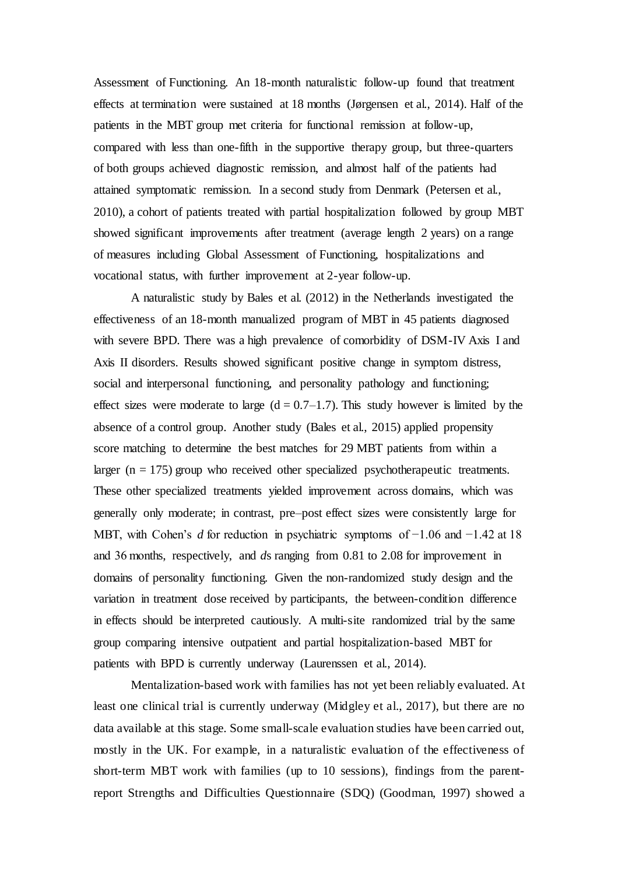Assessment of Functioning. An 18-month naturalistic follow-up found that treatment effects at termination were sustained at 18 months (Jørgensen et al., 2014). Half of the patients in the MBT group met criteria for functional remission at follow-up, compared with less than one-fifth in the supportive therapy group, but three-quarters of both groups achieved diagnostic remission, and almost half of the patients had attained symptomatic remission. In a second study from Denmark (Petersen et al., 2010), a cohort of patients treated with partial hospitalization followed by group MBT showed significant improvements after treatment (average length 2 years) on a range of measures including Global Assessment of Functioning, hospitalizations and vocational status, with further improvement at 2-year follow-up.

A naturalistic study by Bales et al. (2012) in the Netherlands investigated the effectiveness of an 18-month manualized program of MBT in 45 patients diagnosed with severe BPD. There was a high prevalence of comorbidity of DSM-IV Axis I and Axis II disorders. Results showed significant positive change in symptom distress, social and interpersonal functioning, and personality pathology and functioning; effect sizes were moderate to large  $(d = 0.7-1.7)$ . This study however is limited by the absence of a control group. Another study (Bales et al., 2015) applied propensity score matching to determine the best matches for 29 MBT patients from within a larger  $(n = 175)$  group who received other specialized psychotherapeutic treatments. These other specialized treatments yielded improvement across domains, which was generally only moderate; in contrast, pre–post effect sizes were consistently large for MBT, with Cohen's *d* for reduction in psychiatric symptoms of −1.06 and −1.42 at 18 and 36 months, respectively, and *d*s ranging from 0.81 to 2.08 for improvement in domains of personality functioning. Given the non-randomized study design and the variation in treatment dose received by participants, the between-condition difference in effects should be interpreted cautiously. A multi-site randomized trial by the same group comparing intensive outpatient and partial hospitalization-based MBT for patients with BPD is currently underway (Laurenssen et al., 2014).

Mentalization-based work with families has not yet been reliably evaluated. At least one clinical trial is currently underway (Midgley et al., 2017), but there are no data available at this stage. Some small-scale evaluation studies have been carried out, mostly in the UK. For example, in a naturalistic evaluation of the effectiveness of short-term MBT work with families (up to 10 sessions), findings from the parentreport Strengths and Difficulties Questionnaire (SDQ) (Goodman, 1997) showed a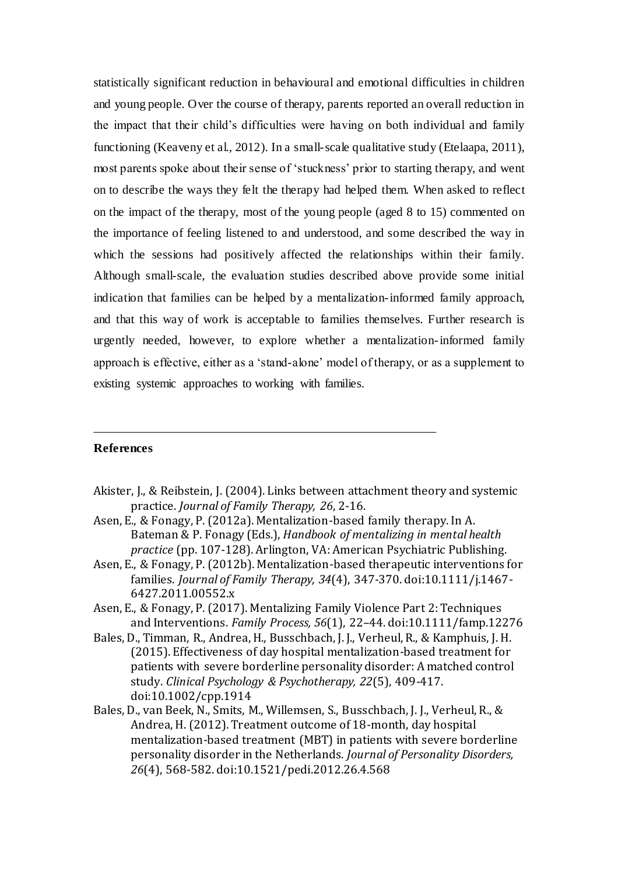statistically significant reduction in behavioural and emotional difficulties in children and young people. Over the course of therapy, parents reported an overall reduction in the impact that their child's difficulties were having on both individual and family functioning (Keaveny et al., 2012). In a small-scale qualitative study (Etelaapa, 2011), most parents spoke about their sense of 'stuckness' prior to starting therapy, and went on to describe the ways they felt the therapy had helped them. When asked to reflect on the impact of the therapy, most of the young people (aged 8 to 15) commented on the importance of feeling listened to and understood, and some described the way in which the sessions had positively affected the relationships within their family. Although small-scale, the evaluation studies described above provide some initial indication that families can be helped by a mentalization-informed family approach, and that this way of work is acceptable to families themselves. Further research is urgently needed, however, to explore whether a mentalization-informed family approach is effective, either as a 'stand-alone' model of therapy, or as a supplement to existing systemic approaches to working with families.

## **References**

Akister, J., & Reibstein, J. (2004). Links between attachment theory and systemic practice. *Journal of Family Therapy, 26*, 2-16.

\_\_\_\_\_\_\_\_\_\_\_\_\_\_\_\_\_\_\_\_\_\_\_\_\_\_\_\_\_\_\_\_\_\_\_\_\_\_\_\_\_\_\_\_\_\_\_\_\_\_\_\_\_\_\_

- Asen, E., & Fonagy, P. (2012a). Mentalization-based family therapy. In A. Bateman & P. Fonagy (Eds.), *Handbook of mentalizing in mental health practice* (pp. 107-128). Arlington, VA: American Psychiatric Publishing.
- Asen, E., & Fonagy, P. (2012b). Mentalization-based therapeutic interventions for families. *Journal of Family Therapy, 34*(4), 347-370. doi:10.1111/j.1467- 6427.2011.00552.x
- Asen, E., & Fonagy, P. (2017). Mentalizing Family Violence Part 2: Techniques and Interventions. *Family Process, 56*(1), 22–44. doi:10.1111/famp.12276
- Bales, D., Timman, R., Andrea, H., Busschbach, J. J., Verheul, R., & Kamphuis, J. H. (2015). Effectiveness of day hospital mentalization-based treatment for patients with severe borderline personality disorder: A matched control study. *Clinical Psychology & Psychotherapy, 22*(5), 409-417. doi:10.1002/cpp.1914
- Bales, D., van Beek, N., Smits, M., Willemsen, S., Busschbach, J. J., Verheul, R., & Andrea, H. (2012). Treatment outcome of 18-month, day hospital mentalization-based treatment (MBT) in patients with severe borderline personality disorder in the Netherlands. *Journal of Personality Disorders, 26*(4), 568-582. doi:10.1521/pedi.2012.26.4.568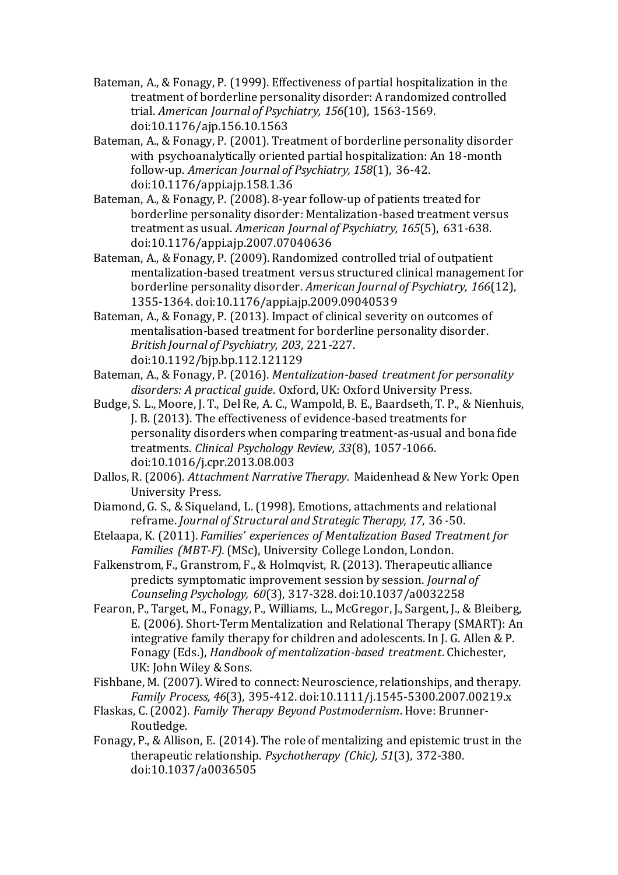- Bateman, A., & Fonagy, P. (1999). Effectiveness of partial hospitalization in the treatment of borderline personality disorder: A randomized controlled trial. *American Journal of Psychiatry, 156*(10), 1563-1569. doi:10.1176/ajp.156.10.1563
- Bateman, A., & Fonagy, P. (2001). Treatment of borderline personality disorder with psychoanalytically oriented partial hospitalization: An 18-month follow-up. *American Journal of Psychiatry, 158*(1), 36-42. doi:10.1176/appi.ajp.158.1.36
- Bateman, A., & Fonagy, P. (2008). 8-year follow-up of patients treated for borderline personality disorder: Mentalization-based treatment versus treatment as usual. *American Journal of Psychiatry, 165*(5), 631-638. doi:10.1176/appi.ajp.2007.07040636
- Bateman, A., & Fonagy, P. (2009). Randomized controlled trial of outpatient mentalization-based treatment versus structured clinical management for borderline personality disorder. *American Journal of Psychiatry, 166*(12), 1355-1364. doi:10.1176/appi.ajp.2009.09040539
- Bateman, A., & Fonagy, P. (2013). Impact of clinical severity on outcomes of mentalisation-based treatment for borderline personality disorder. *British Journal of Psychiatry, 203*, 221-227. doi:10.1192/bjp.bp.112.121129
- Bateman, A., & Fonagy, P. (2016). *Mentalization-based treatment for personality disorders: A practical guide*. Oxford, UK: Oxford University Press.
- Budge, S. L., Moore, J. T., Del Re, A. C., Wampold, B. E., Baardseth, T. P., & Nienhuis, J. B. (2013). The effectiveness of evidence-based treatments for personality disorders when comparing treatment-as-usual and bona fide treatments. *Clinical Psychology Review, 33*(8), 1057-1066. doi:10.1016/j.cpr.2013.08.003
- Dallos, R. (2006). *Attachment Narrative Therapy*. Maidenhead & New York: Open University Press.
- Diamond, G. S., & Siqueland, L. (1998). Emotions, attachments and relational reframe. *Journal of Structural and Strategic Therapy, 17*, 36 -50.
- Etelaapa, K. (2011). *Families' experiences of Mentalization Based Treatment for Families (MBT-F).*(MSc), University College London, London.
- Falkenstrom, F., Granstrom, F., & Holmqvist, R. (2013). Therapeutic alliance predicts symptomatic improvement session by session. *Journal of Counseling Psychology, 60*(3), 317-328. doi:10.1037/a0032258
- Fearon, P., Target, M., Fonagy, P., Williams, L., McGregor, J., Sargent, J., & Bleiberg, E. (2006). Short-Term Mentalization and Relational Therapy (SMART): An integrative family therapy for children and adolescents. In J. G. Allen & P. Fonagy (Eds.), *Handbook of mentalization-based treatment*. Chichester, UK: John Wiley & Sons.
- Fishbane, M. (2007). Wired to connect: Neuroscience, relationships, and therapy. *Family Process, 46*(3), 395-412. doi:10.1111/j.1545-5300.2007.00219.x
- Flaskas, C. (2002). *Family Therapy Beyond Postmodernism*. Hove: Brunner-Routledge.
- Fonagy, P., & Allison, E. (2014). The role of mentalizing and epistemic trust in the therapeutic relationship. *Psychotherapy (Chic), 51*(3), 372-380. doi:10.1037/a0036505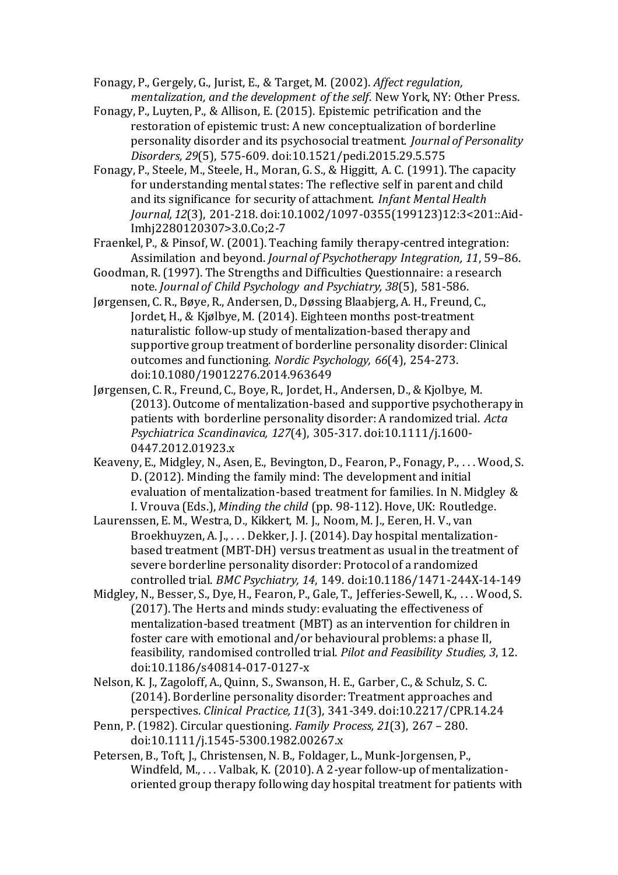Fonagy, P., Gergely, G., Jurist, E., & Target, M. (2002). *Affect regulation, mentalization, and the development of the self*. New York, NY: Other Press.

- Fonagy, P., Luyten, P., & Allison, E. (2015). Epistemic petrification and the restoration of epistemic trust: A new conceptualization of borderline personality disorder and its psychosocial treatment. *Journal of Personality Disorders, 29*(5), 575-609. doi:10.1521/pedi.2015.29.5.575
- Fonagy, P., Steele, M., Steele, H., Moran, G. S., & Higgitt, A. C. (1991). The capacity for understanding mental states: The reflective self in parent and child and its significance for security of attachment. *Infant Mental Health Journal, 12*(3), 201-218. doi:10.1002/1097-0355(199123)12:3<201::Aid-Imhj2280120307>3.0.Co;2-7
- Fraenkel, P., & Pinsof, W. (2001). Teaching family therapy-centred integration: Assimilation and beyond. *Journal of Psychotherapy Integration, 11*, 59–86.
- Goodman, R. (1997). The Strengths and Difficulties Questionnaire: a research note. *Journal of Child Psychology and Psychiatry, 38*(5), 581-586.
- Jørgensen, C. R., Bøye, R., Andersen, D., Døssing Blaabjerg, A. H., Freund, C., Jordet, H., & Kjølbye, M. (2014). Eighteen months post-treatment naturalistic follow-up study of mentalization-based therapy and supportive group treatment of borderline personality disorder: Clinical outcomes and functioning. *Nordic Psychology, 66*(4), 254-273. doi:10.1080/19012276.2014.963649
- Jørgensen, C. R., Freund, C., Boye, R., Jordet, H., Andersen, D., & Kjolbye, M. (2013). Outcome of mentalization-based and supportive psychotherapy in patients with borderline personality disorder: A randomized trial. *Acta Psychiatrica Scandinavica, 127*(4), 305-317. doi:10.1111/j.1600- 0447.2012.01923.x
- Keaveny, E., Midgley, N., Asen, E., Bevington, D., Fearon, P., Fonagy, P., . . . Wood, S. D. (2012). Minding the family mind: The development and initial evaluation of mentalization-based treatment for families. In N. Midgley & I. Vrouva (Eds.), *Minding the child* (pp. 98-112). Hove, UK: Routledge.
- Laurenssen, E. M., Westra, D., Kikkert, M. J., Noom, M. J., Eeren, H. V., van Broekhuyzen, A. J., . . . Dekker, J. J. (2014). Day hospital mentalizationbased treatment (MBT-DH) versus treatment as usual in the treatment of severe borderline personality disorder: Protocol of a randomized controlled trial. *BMC Psychiatry, 14*, 149. doi:10.1186/1471-244X-14-149
- Midgley, N., Besser, S., Dye, H., Fearon, P., Gale, T., Jefferies-Sewell, K., . . . Wood, S. (2017). The Herts and minds study: evaluating the effectiveness of mentalization-based treatment (MBT) as an intervention for children in foster care with emotional and/or behavioural problems: a phase II, feasibility, randomised controlled trial. *Pilot and Feasibility Studies, 3*, 12. doi:10.1186/s40814-017-0127-x
- Nelson, K. J., Zagoloff, A., Quinn, S., Swanson, H. E., Garber, C., & Schulz, S. C. (2014). Borderline personality disorder: Treatment approaches and perspectives. *Clinical Practice, 11*(3), 341-349. doi:10.2217/CPR.14.24
- Penn, P. (1982). Circular questioning. *Family Process, 21*(3), 267 280. doi:10.1111/j.1545-5300.1982.00267.x
- Petersen, B., Toft, J., Christensen, N. B., Foldager, L., Munk-Jorgensen, P., Windfeld, M., ... Valbak, K. (2010). A 2-year follow-up of mentalizationoriented group therapy following day hospital treatment for patients with